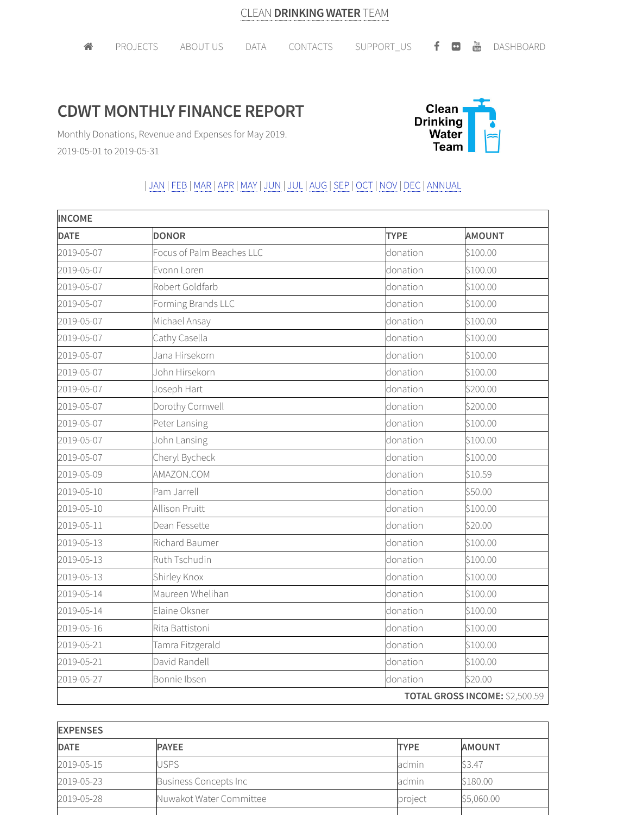## **CDWT MONTHLY FINANCE REPORT**



Monthly Donations, Revenue and Expenses for May 2019. 2019-05-01 to 2019-05-31

## | JAN | FEB |MAR |APR |MAY | JUN | JUL | AUG |SEP | OCT | NOV | DEC | ANNUAL

| <b>INCOME</b> |                           |             |                                |  |
|---------------|---------------------------|-------------|--------------------------------|--|
| <b>DATE</b>   | <b>DONOR</b>              | <b>TYPE</b> | <b>AMOUNT</b>                  |  |
| 2019-05-07    | Focus of Palm Beaches LLC | donation    | \$100.00                       |  |
| 2019-05-07    | Evonn Loren               | donation    | \$100.00                       |  |
| 2019-05-07    | Robert Goldfarb           | donation    | \$100.00                       |  |
| 2019-05-07    | Forming Brands LLC        | donation    | \$100.00                       |  |
| 2019-05-07    | Michael Ansay             | donation    | \$100.00                       |  |
| 2019-05-07    | Cathy Casella             | donation    | \$100.00                       |  |
| 2019-05-07    | Jana Hirsekorn            | donation    | \$100.00                       |  |
| 2019-05-07    | John Hirsekorn            | donation    | \$100.00                       |  |
| 2019-05-07    | Joseph Hart               | donation    | \$200.00                       |  |
| 2019-05-07    | Dorothy Cornwell          | donation    | \$200.00                       |  |
| 2019-05-07    | Peter Lansing             | donation    | \$100.00                       |  |
| 2019-05-07    | John Lansing              | donation    | \$100.00                       |  |
| 2019-05-07    | Cheryl Bycheck            | donation    | \$100.00                       |  |
| 2019-05-09    | AMAZON.COM                | donation    | \$10.59                        |  |
| 2019-05-10    | Pam Jarrell               | donation    | \$50.00                        |  |
| 2019-05-10    | Allison Pruitt            | donation    | \$100.00                       |  |
| 2019-05-11    | Dean Fessette             | donation    | \$20.00                        |  |
| 2019-05-13    | Richard Baumer            | donation    | \$100.00                       |  |
| 2019-05-13    | Ruth Tschudin             | donation    | \$100.00                       |  |
| 2019-05-13    | Shirley Knox              | donation    | \$100.00                       |  |
| 2019-05-14    | Maureen Whelihan          | donation    | \$100.00                       |  |
| 2019-05-14    | Elaine Oksner             | donation    | \$100.00                       |  |
| 2019-05-16    | Rita Battistoni           | donation    | \$100.00                       |  |
| 2019-05-21    | Tamra Fitzgerald          | donation    | \$100.00                       |  |
| 2019-05-21    | David Randell             | donation    | \$100.00                       |  |
| 2019-05-27    | Bonnie Ibsen              | donation    | \$20.00                        |  |
|               |                           |             | TOTAL GROSS INCOME: \$2,500.59 |  |

| <b>EXPENSES</b> |                              |             |               |  |
|-----------------|------------------------------|-------------|---------------|--|
| <b>DATE</b>     | <b>PAYEE</b>                 | <b>TYPE</b> | <b>AMOUNT</b> |  |
| 2019-05-15      | <b>JSPS</b>                  | admin       | \$3.47        |  |
| 2019-05-23      | <b>Business Concepts Inc</b> | admin       | \$180.00      |  |
| 2019-05-28      | Nuwakot Water Committee      | project     | \$5,060.00    |  |
|                 |                              |             |               |  |